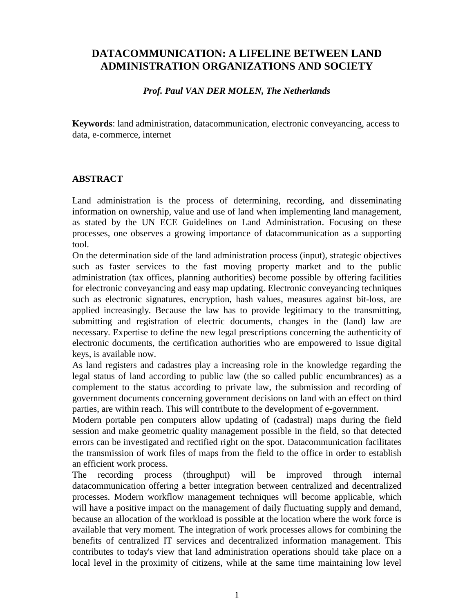# **DATACOMMUNICATION: A LIFELINE BETWEEN LAND ADMINISTRATION ORGANIZATIONS AND SOCIETY**

#### *Prof. Paul VAN DER MOLEN, The Netherlands*

**Keywords**: land administration, datacommunication, electronic conveyancing, access to data, e-commerce, internet

### **ABSTRACT**

Land administration is the process of determining, recording, and disseminating information on ownership, value and use of land when implementing land management, as stated by the UN ECE Guidelines on Land Administration. Focusing on these processes, one observes a growing importance of datacommunication as a supporting tool.

On the determination side of the land administration process (input), strategic objectives such as faster services to the fast moving property market and to the public administration (tax offices, planning authorities) become possible by offering facilities for electronic conveyancing and easy map updating. Electronic conveyancing techniques such as electronic signatures, encryption, hash values, measures against bit-loss, are applied increasingly. Because the law has to provide legitimacy to the transmitting, submitting and registration of electric documents, changes in the (land) law are necessary. Expertise to define the new legal prescriptions concerning the authenticity of electronic documents, the certification authorities who are empowered to issue digital keys, is available now.

As land registers and cadastres play a increasing role in the knowledge regarding the legal status of land according to public law (the so called public encumbrances) as a complement to the status according to private law, the submission and recording of government documents concerning government decisions on land with an effect on third parties, are within reach. This will contribute to the development of e-government.

Modern portable pen computers allow updating of (cadastral) maps during the field session and make geometric quality management possible in the field, so that detected errors can be investigated and rectified right on the spot. Datacommunication facilitates the transmission of work files of maps from the field to the office in order to establish an efficient work process.

The recording process (throughput) will be improved through internal datacommunication offering a better integration between centralized and decentralized processes. Modern workflow management techniques will become applicable, which will have a positive impact on the management of daily fluctuating supply and demand, because an allocation of the workload is possible at the location where the work force is available that very moment. The integration of work processes allows for combining the benefits of centralized IT services and decentralized information management. This contributes to today's view that land administration operations should take place on a local level in the proximity of citizens, while at the same time maintaining low level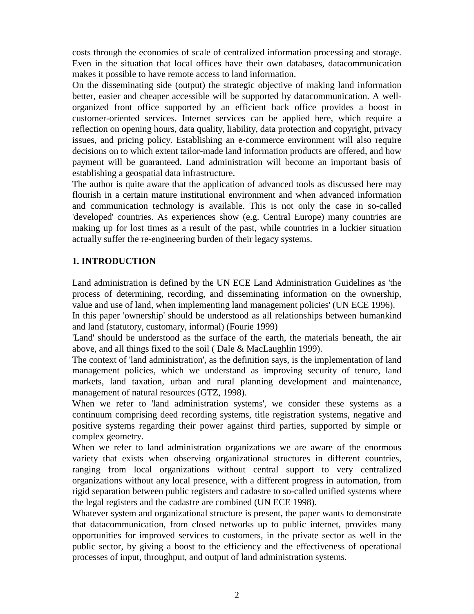costs through the economies of scale of centralized information processing and storage. Even in the situation that local offices have their own databases, datacommunication makes it possible to have remote access to land information.

On the disseminating side (output) the strategic objective of making land information better, easier and cheaper accessible will be supported by datacommunication. A wellorganized front office supported by an efficient back office provides a boost in customer-oriented services. Internet services can be applied here, which require a reflection on opening hours, data quality, liability, data protection and copyright, privacy issues, and pricing policy. Establishing an e-commerce environment will also require decisions on to which extent tailor-made land information products are offered, and how payment will be guaranteed. Land administration will become an important basis of establishing a geospatial data infrastructure.

The author is quite aware that the application of advanced tools as discussed here may flourish in a certain mature institutional environment and when advanced information and communication technology is available. This is not only the case in so-called 'developed' countries. As experiences show (e.g. Central Europe) many countries are making up for lost times as a result of the past, while countries in a luckier situation actually suffer the re-engineering burden of their legacy systems.

## **1. INTRODUCTION**

Land administration is defined by the UN ECE Land Administration Guidelines as 'the process of determining, recording, and disseminating information on the ownership, value and use of land, when implementing land management policies' (UN ECE 1996).

In this paper 'ownership' should be understood as all relationships between humankind and land (statutory, customary, informal) (Fourie 1999)

'Land' should be understood as the surface of the earth, the materials beneath, the air above, and all things fixed to the soil ( Dale & MacLaughlin 1999).

The context of 'land administration', as the definition says, is the implementation of land management policies, which we understand as improving security of tenure, land markets, land taxation, urban and rural planning development and maintenance, management of natural resources (GTZ, 1998).

When we refer to 'land administration systems', we consider these systems as a continuum comprising deed recording systems, title registration systems, negative and positive systems regarding their power against third parties, supported by simple or complex geometry.

When we refer to land administration organizations we are aware of the enormous variety that exists when observing organizational structures in different countries, ranging from local organizations without central support to very centralized organizations without any local presence, with a different progress in automation, from rigid separation between public registers and cadastre to so-called unified systems where the legal registers and the cadastre are combined (UN ECE 1998).

Whatever system and organizational structure is present, the paper wants to demonstrate that datacommunication, from closed networks up to public internet, provides many opportunities for improved services to customers, in the private sector as well in the public sector, by giving a boost to the efficiency and the effectiveness of operational processes of input, throughput, and output of land administration systems.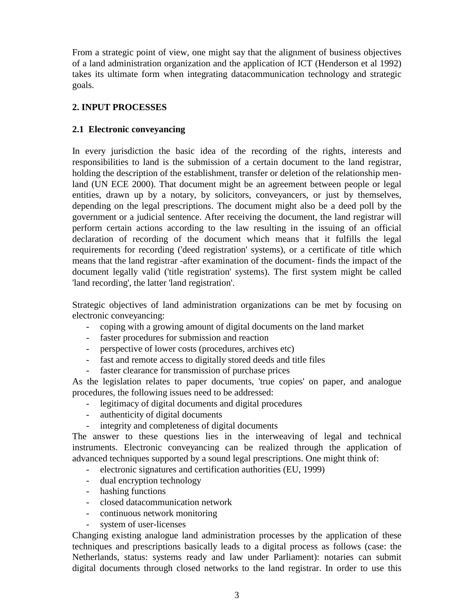From a strategic point of view, one might say that the alignment of business objectives of a land administration organization and the application of ICT (Henderson et al 1992) takes its ultimate form when integrating datacommunication technology and strategic goals.

## **2. INPUT PROCESSES**

## **2.1 Electronic conveyancing**

In every jurisdiction the basic idea of the recording of the rights, interests and responsibilities to land is the submission of a certain document to the land registrar, holding the description of the establishment, transfer or deletion of the relationship menland (UN ECE 2000). That document might be an agreement between people or legal entities, drawn up by a notary, by solicitors, conveyancers, or just by themselves, depending on the legal prescriptions. The document might also be a deed poll by the government or a judicial sentence. After receiving the document, the land registrar will perform certain actions according to the law resulting in the issuing of an official declaration of recording of the document which means that it fulfills the legal requirements for recording ('deed registration' systems), or a certificate of title which means that the land registrar -after examination of the document- finds the impact of the document legally valid ('title registration' systems). The first system might be called 'land recording', the latter 'land registration'.

Strategic objectives of land administration organizations can be met by focusing on electronic conveyancing:

- coping with a growing amount of digital documents on the land market
- faster procedures for submission and reaction
- perspective of lower costs (procedures, archives etc)
- fast and remote access to digitally stored deeds and title files
- faster clearance for transmission of purchase prices

As the legislation relates to paper documents, 'true copies' on paper, and analogue procedures, the following issues need to be addressed:

- legitimacy of digital documents and digital procedures
- authenticity of digital documents
- integrity and completeness of digital documents

The answer to these questions lies in the interweaving of legal and technical instruments. Electronic conveyancing can be realized through the application of advanced techniques supported by a sound legal prescriptions. One might think of:

- electronic signatures and certification authorities (EU, 1999)
- dual encryption technology
- hashing functions
- closed datacommunication network
- continuous network monitoring
- system of user-licenses

Changing existing analogue land administration processes by the application of these techniques and prescriptions basically leads to a digital process as follows (case: the Netherlands, status: systems ready and law under Parliament): notaries can submit digital documents through closed networks to the land registrar. In order to use this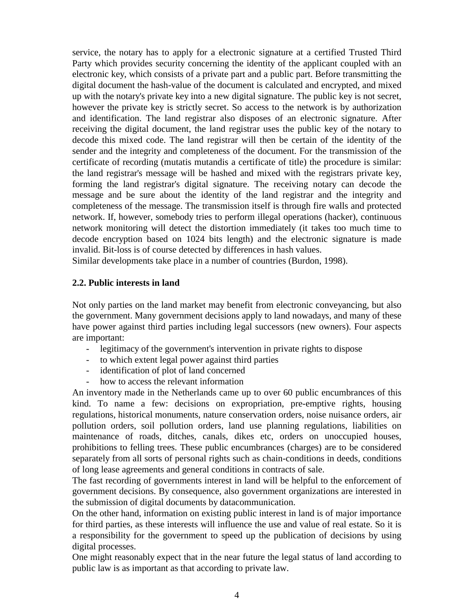service, the notary has to apply for a electronic signature at a certified Trusted Third Party which provides security concerning the identity of the applicant coupled with an electronic key, which consists of a private part and a public part. Before transmitting the digital document the hash-value of the document is calculated and encrypted, and mixed up with the notary's private key into a new digital signature. The public key is not secret, however the private key is strictly secret. So access to the network is by authorization and identification. The land registrar also disposes of an electronic signature. After receiving the digital document, the land registrar uses the public key of the notary to decode this mixed code. The land registrar will then be certain of the identity of the sender and the integrity and completeness of the document. For the transmission of the certificate of recording (mutatis mutandis a certificate of title) the procedure is similar: the land registrar's message will be hashed and mixed with the registrars private key, forming the land registrar's digital signature. The receiving notary can decode the message and be sure about the identity of the land registrar and the integrity and completeness of the message. The transmission itself is through fire walls and protected network. If, however, somebody tries to perform illegal operations (hacker), continuous network monitoring will detect the distortion immediately (it takes too much time to decode encryption based on 1024 bits length) and the electronic signature is made invalid. Bit-loss is of course detected by differences in hash values.

Similar developments take place in a number of countries (Burdon, 1998).

### **2.2. Public interests in land**

Not only parties on the land market may benefit from electronic conveyancing, but also the government. Many government decisions apply to land nowadays, and many of these have power against third parties including legal successors (new owners). Four aspects are important:

- legitimacy of the government's intervention in private rights to dispose
- to which extent legal power against third parties
- identification of plot of land concerned
- how to access the relevant information

An inventory made in the Netherlands came up to over 60 public encumbrances of this kind. To name a few: decisions on expropriation, pre-emptive rights, housing regulations, historical monuments, nature conservation orders, noise nuisance orders, air pollution orders, soil pollution orders, land use planning regulations, liabilities on maintenance of roads, ditches, canals, dikes etc, orders on unoccupied houses, prohibitions to felling trees. These public encumbrances (charges) are to be considered separately from all sorts of personal rights such as chain-conditions in deeds, conditions of long lease agreements and general conditions in contracts of sale.

The fast recording of governments interest in land will be helpful to the enforcement of government decisions. By consequence, also government organizations are interested in the submission of digital documents by datacommunication.

On the other hand, information on existing public interest in land is of major importance for third parties, as these interests will influence the use and value of real estate. So it is a responsibility for the government to speed up the publication of decisions by using digital processes.

One might reasonably expect that in the near future the legal status of land according to public law is as important as that according to private law.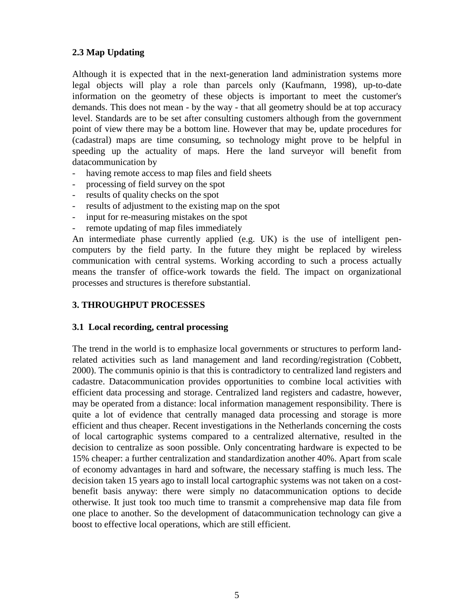## **2.3 Map Updating**

Although it is expected that in the next-generation land administration systems more legal objects will play a role than parcels only (Kaufmann, 1998), up-to-date information on the geometry of these objects is important to meet the customer's demands. This does not mean - by the way - that all geometry should be at top accuracy level. Standards are to be set after consulting customers although from the government point of view there may be a bottom line. However that may be, update procedures for (cadastral) maps are time consuming, so technology might prove to be helpful in speeding up the actuality of maps. Here the land surveyor will benefit from datacommunication by

- having remote access to map files and field sheets
- processing of field survey on the spot
- results of quality checks on the spot
- results of adjustment to the existing map on the spot
- input for re-measuring mistakes on the spot
- remote updating of map files immediately

An intermediate phase currently applied (e.g. UK) is the use of intelligent pencomputers by the field party. In the future they might be replaced by wireless communication with central systems. Working according to such a process actually means the transfer of office-work towards the field. The impact on organizational processes and structures is therefore substantial.

## **3. THROUGHPUT PROCESSES**

## **3.1 Local recording, central processing**

The trend in the world is to emphasize local governments or structures to perform landrelated activities such as land management and land recording/registration (Cobbett, 2000). The communis opinio is that this is contradictory to centralized land registers and cadastre. Datacommunication provides opportunities to combine local activities with efficient data processing and storage. Centralized land registers and cadastre, however, may be operated from a distance: local information management responsibility. There is quite a lot of evidence that centrally managed data processing and storage is more efficient and thus cheaper. Recent investigations in the Netherlands concerning the costs of local cartographic systems compared to a centralized alternative, resulted in the decision to centralize as soon possible. Only concentrating hardware is expected to be 15% cheaper: a further centralization and standardization another 40%. Apart from scale of economy advantages in hard and software, the necessary staffing is much less. The decision taken 15 years ago to install local cartographic systems was not taken on a costbenefit basis anyway: there were simply no datacommunication options to decide otherwise. It just took too much time to transmit a comprehensive map data file from one place to another. So the development of datacommunication technology can give a boost to effective local operations, which are still efficient.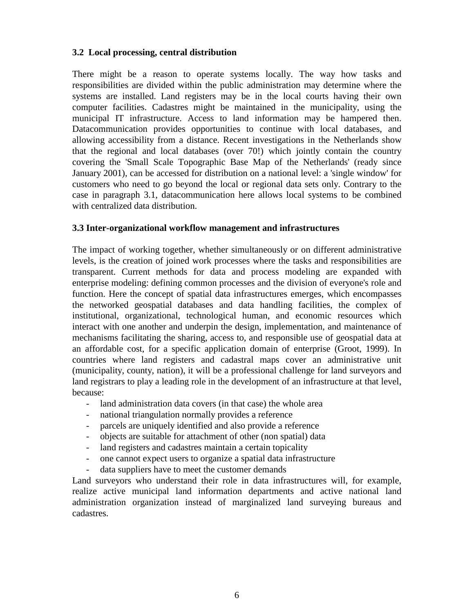### **3.2 Local processing, central distribution**

There might be a reason to operate systems locally. The way how tasks and responsibilities are divided within the public administration may determine where the systems are installed. Land registers may be in the local courts having their own computer facilities. Cadastres might be maintained in the municipality, using the municipal IT infrastructure. Access to land information may be hampered then. Datacommunication provides opportunities to continue with local databases, and allowing accessibility from a distance. Recent investigations in the Netherlands show that the regional and local databases (over 70!) which jointly contain the country covering the 'Small Scale Topographic Base Map of the Netherlands' (ready since January 2001), can be accessed for distribution on a national level: a 'single window' for customers who need to go beyond the local or regional data sets only. Contrary to the case in paragraph 3.1, datacommunication here allows local systems to be combined with centralized data distribution.

### **3.3 Inter-organizational workflow management and infrastructures**

The impact of working together, whether simultaneously or on different administrative levels, is the creation of joined work processes where the tasks and responsibilities are transparent. Current methods for data and process modeling are expanded with enterprise modeling: defining common processes and the division of everyone's role and function. Here the concept of spatial data infrastructures emerges, which encompasses the networked geospatial databases and data handling facilities, the complex of institutional, organizational, technological human, and economic resources which interact with one another and underpin the design, implementation, and maintenance of mechanisms facilitating the sharing, access to, and responsible use of geospatial data at an affordable cost, for a specific application domain of enterprise (Groot, 1999). In countries where land registers and cadastral maps cover an administrative unit (municipality, county, nation), it will be a professional challenge for land surveyors and land registrars to play a leading role in the development of an infrastructure at that level, because:

- land administration data covers (in that case) the whole area
- national triangulation normally provides a reference
- parcels are uniquely identified and also provide a reference
- objects are suitable for attachment of other (non spatial) data
- land registers and cadastres maintain a certain topicality
- one cannot expect users to organize a spatial data infrastructure
- data suppliers have to meet the customer demands

Land surveyors who understand their role in data infrastructures will, for example, realize active municipal land information departments and active national land administration organization instead of marginalized land surveying bureaus and cadastres.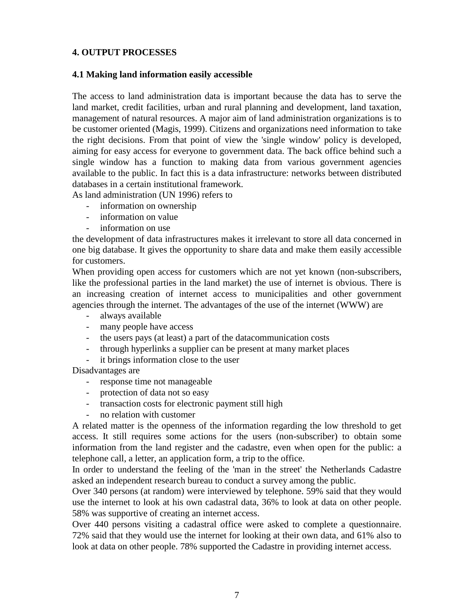## **4. OUTPUT PROCESSES**

#### **4.1 Making land information easily accessible**

The access to land administration data is important because the data has to serve the land market, credit facilities, urban and rural planning and development, land taxation, management of natural resources. A major aim of land administration organizations is to be customer oriented (Magis, 1999). Citizens and organizations need information to take the right decisions. From that point of view the 'single window' policy is developed, aiming for easy access for everyone to government data. The back office behind such a single window has a function to making data from various government agencies available to the public. In fact this is a data infrastructure: networks between distributed databases in a certain institutional framework.

As land administration (UN 1996) refers to

- information on ownership
- information on value
- information on use

the development of data infrastructures makes it irrelevant to store all data concerned in one big database. It gives the opportunity to share data and make them easily accessible for customers.

When providing open access for customers which are not yet known (non-subscribers, like the professional parties in the land market) the use of internet is obvious. There is an increasing creation of internet access to municipalities and other government agencies through the internet. The advantages of the use of the internet (WWW) are

- always available
- many people have access
- the users pays (at least) a part of the datacommunication costs
- through hyperlinks a supplier can be present at many market places
- it brings information close to the user

Disadvantages are

- response time not manageable
- protection of data not so easy
- transaction costs for electronic payment still high
- no relation with customer

A related matter is the openness of the information regarding the low threshold to get access. It still requires some actions for the users (non-subscriber) to obtain some information from the land register and the cadastre, even when open for the public: a telephone call, a letter, an application form, a trip to the office.

In order to understand the feeling of the 'man in the street' the Netherlands Cadastre asked an independent research bureau to conduct a survey among the public.

Over 340 persons (at random) were interviewed by telephone. 59% said that they would use the internet to look at his own cadastral data, 36% to look at data on other people. 58% was supportive of creating an internet access.

Over 440 persons visiting a cadastral office were asked to complete a questionnaire. 72% said that they would use the internet for looking at their own data, and 61% also to look at data on other people. 78% supported the Cadastre in providing internet access.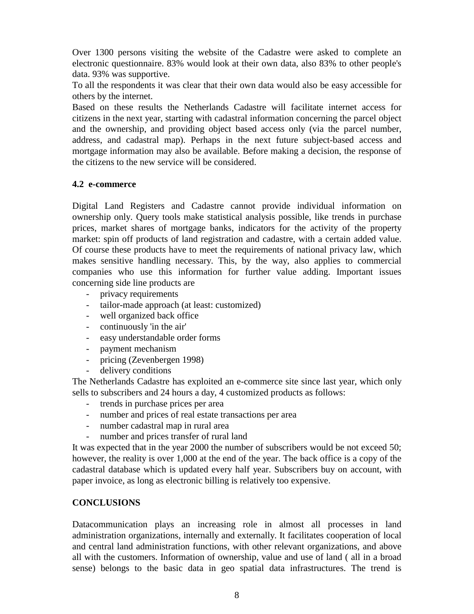Over 1300 persons visiting the website of the Cadastre were asked to complete an electronic questionnaire. 83% would look at their own data, also 83% to other people's data. 93% was supportive.

To all the respondents it was clear that their own data would also be easy accessible for others by the internet.

Based on these results the Netherlands Cadastre will facilitate internet access for citizens in the next year, starting with cadastral information concerning the parcel object and the ownership, and providing object based access only (via the parcel number, address, and cadastral map). Perhaps in the next future subject-based access and mortgage information may also be available. Before making a decision, the response of the citizens to the new service will be considered.

### **4.2 e-commerce**

Digital Land Registers and Cadastre cannot provide individual information on ownership only. Query tools make statistical analysis possible, like trends in purchase prices, market shares of mortgage banks, indicators for the activity of the property market: spin off products of land registration and cadastre, with a certain added value. Of course these products have to meet the requirements of national privacy law, which makes sensitive handling necessary. This, by the way, also applies to commercial companies who use this information for further value adding. Important issues concerning side line products are

- privacy requirements
- tailor-made approach (at least: customized)
- well organized back office
- continuously 'in the air'
- easy understandable order forms
- payment mechanism
- pricing (Zevenbergen 1998)
- delivery conditions

The Netherlands Cadastre has exploited an e-commerce site since last year, which only sells to subscribers and 24 hours a day, 4 customized products as follows:

- trends in purchase prices per area
- number and prices of real estate transactions per area
- number cadastral map in rural area
- number and prices transfer of rural land

It was expected that in the year 2000 the number of subscribers would be not exceed 50; however, the reality is over 1,000 at the end of the year. The back office is a copy of the cadastral database which is updated every half year. Subscribers buy on account, with paper invoice, as long as electronic billing is relatively too expensive.

#### **CONCLUSIONS**

Datacommunication plays an increasing role in almost all processes in land administration organizations, internally and externally. It facilitates cooperation of local and central land administration functions, with other relevant organizations, and above all with the customers. Information of ownership, value and use of land ( all in a broad sense) belongs to the basic data in geo spatial data infrastructures. The trend is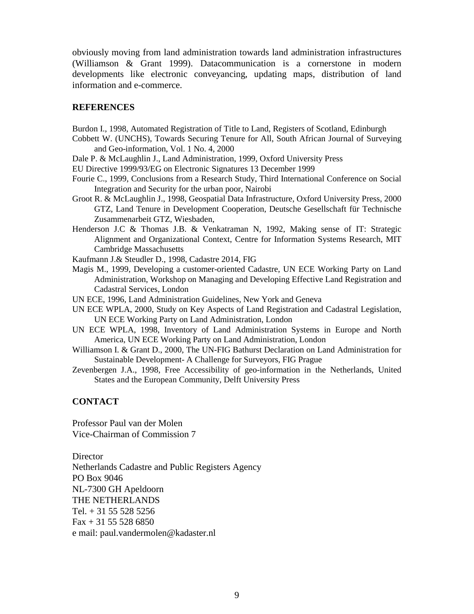obviously moving from land administration towards land administration infrastructures (Williamson & Grant 1999). Datacommunication is a cornerstone in modern developments like electronic conveyancing, updating maps, distribution of land information and e-commerce.

#### **REFERENCES**

Burdon I., 1998, Automated Registration of Title to Land, Registers of Scotland, Edinburgh

- Cobbett W. (UNCHS), Towards Securing Tenure for All, South African Journal of Surveying and Geo-information, Vol. 1 No. 4, 2000
- Dale P. & McLaughlin J., Land Administration, 1999, Oxford University Press

EU Directive 1999/93/EG on Electronic Signatures 13 December 1999

- Fourie C., 1999, Conclusions from a Research Study, Third International Conference on Social Integration and Security for the urban poor, Nairobi
- Groot R. & McLaughlin J., 1998, Geospatial Data Infrastructure, Oxford University Press, 2000 GTZ, Land Tenure in Development Cooperation, Deutsche Gesellschaft für Technische Zusammenarbeit GTZ, Wiesbaden,
- Henderson J.C & Thomas J.B. & Venkatraman N, 1992, Making sense of IT: Strategic Alignment and Organizational Context, Centre for Information Systems Research, MIT Cambridge Massachusetts
- Kaufmann J.& Steudler D., 1998, Cadastre 2014, FIG
- Magis M., 1999, Developing a customer-oriented Cadastre, UN ECE Working Party on Land Administration, Workshop on Managing and Developing Effective Land Registration and Cadastral Services, London
- UN ECE, 1996, Land Administration Guidelines, New York and Geneva
- UN ECE WPLA, 2000, Study on Key Aspects of Land Registration and Cadastral Legislation, UN ECE Working Party on Land Administration, London
- UN ECE WPLA, 1998, Inventory of Land Administration Systems in Europe and North America, UN ECE Working Party on Land Administration, London
- Williamson I. & Grant D., 2000, The UN-FIG Bathurst Declaration on Land Administration for Sustainable Development- A Challenge for Surveyors, FIG Prague
- Zevenbergen J.A., 1998, Free Accessibility of geo-information in the Netherlands, United States and the European Community, Delft University Press

#### **CONTACT**

Professor Paul van der Molen Vice-Chairman of Commission 7

**Director** Netherlands Cadastre and Public Registers Agency PO Box 9046 NL-7300 GH Apeldoorn THE NETHERLANDS Tel.  $+31$  55 528 5256  $Fax + 31 55 528 6850$ e mail: paul.vandermolen@kadaster.nl